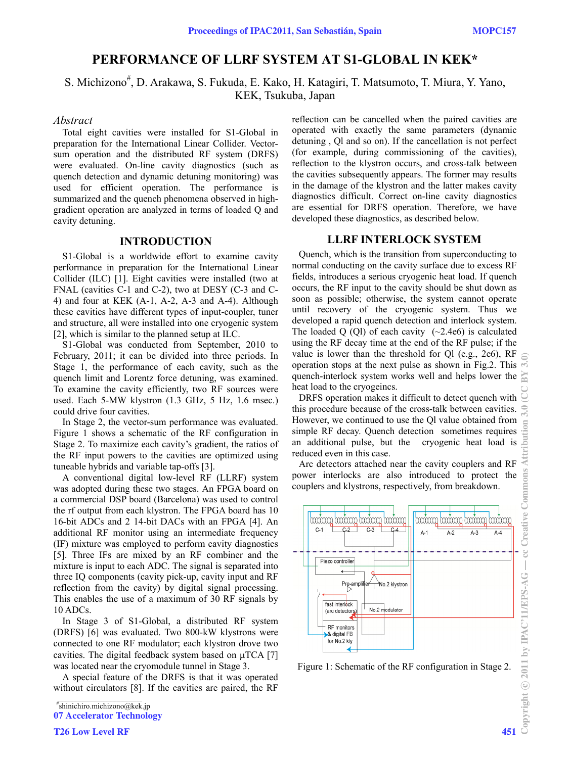# **PERFORMANCE OF LLRF SYSTEM AT S1-GLOBAL IN KEK\***

S. Michizono<sup>#</sup>, D. Arakawa, S. Fukuda, E. Kako, H. Katagiri, T. Matsumoto, T. Miura, Y. Yano, KEK, Tsukuba, Japan

### *Abstract*

Total eight cavities were installed for S1-Global in preparation for the International Linear Collider. Vectorsum operation and the distributed RF system (DRFS) were evaluated. On-line cavity diagnostics (such as quench detection and dynamic detuning monitoring) was used for efficient operation. The performance is summarized and the quench phenomena observed in highgradient operation are analyzed in terms of loaded Q and cavity detuning.

### **INTRODUCTION**

S1-Global is a worldwide effort to examine cavity performance in preparation for the International Linear Collider (ILC) [1]. Eight cavities were installed (two at FNAL (cavities C-1 and C-2), two at DESY (C-3 and C-4) and four at KEK (A-1, A-2, A-3 and A-4). Although these cavities have different types of input-coupler, tuner and structure, all were installed into one cryogenic system [2], which is similar to the planned setup at ILC.

S1-Global was conducted from September, 2010 to February, 2011; it can be divided into three periods. In Stage 1, the performance of each cavity, such as the quench limit and Lorentz force detuning, was examined. To examine the cavity efficiently, two RF sources were used. Each 5-MW klystron (1.3 GHz, 5 Hz, 1.6 msec.) could drive four cavities.

In Stage 2, the vector-sum performance was evaluated. Figure 1 shows a schematic of the RF configuration in Stage 2. To maximize each cavity's gradient, the ratios of the RF input powers to the cavities are optimized using tuneable hybrids and variable tap-offs [3].

A conventional digital low-level RF (LLRF) system was adopted during these two stages. An FPGA board on a commercial DSP board (Barcelona) was used to control the rf output from each klystron. The FPGA board has 10 16-bit ADCs and 2 14-bit DACs with an FPGA [4]. An additional RF monitor using an intermediate frequency (IF) mixture was employed to perform cavity diagnostics [5]. Three IFs are mixed by an RF combiner and the mixture is input to each ADC. The signal is separated into three IQ components (cavity pick-up, cavity input and RF reflection from the cavity) by digital signal processing. This enables the use of a maximum of 30 RF signals by 10 ADCs.

In Stage 3 of S1-Global, a distributed RF system (DRFS) [6] was evaluated. Two 800-kW klystrons were connected to one RF modulator; each klystron drove two cavities. The digital feedback system based on  $\mu$ TCA [7] was located near the cryomodule tunnel in Stage 3.

A special feature of the DRFS is that it was operated without circulators [8]. If the cavities are paired, the RF

**T26 Low Level RF** 451

reflection can be cancelled when the paired cavities are operated with exactly the same parameters (dynamic detuning , Ql and so on). If the cancellation is not perfect (for example, during commissioning of the cavities), reflection to the klystron occurs, and cross-talk between the cavities subsequently appears. The former may results in the damage of the klystron and the latter makes cavity diagnostics difficult. Correct on-line cavity diagnostics are essential for DRFS operation. Therefore, we have developed these diagnostics, as described below.

### **LLRF INTERLOCK SYSTEM**

Quench, which is the transition from superconducting to normal conducting on the cavity surface due to excess RF fields, introduces a serious cryogenic heat load. If quench occurs, the RF input to the cavity should be shut down as soon as possible; otherwise, the system cannot operate until recovery of the cryogenic system. Thus we developed a rapid quench detection and interlock system. The loaded Q (Ql) of each cavity  $(\sim 2.4e6)$  is calculated using the RF decay time at the end of the RF pulse; if the value is lower than the threshold for Ql (e.g., 2e6), RF operation stops at the next pulse as shown in Fig.2. This quench-interlock system works well and helps lower the heat load to the cryogeincs.

DRFS operation makes it difficult to detect quench with this procedure because of the cross-talk between cavities. However, we continued to use the Ql value obtained from simple RF decay. Quench detection sometimes requires an additional pulse, but the cryogenic heat load is reduced even in this case.

Arc detectors attached near the cavity couplers and RF power interlocks are also introduced to protect the couplers and klystrons, respectively, from breakdown.



Figure 1: Schematic of the RF configuration in Stage 2.

 $\frac{1}{2}$  and  $\frac{1}{2}$  and  $\frac{1}{2}$  and  $\frac{1}{2}$  and  $\frac{1}{2}$  and  $\frac{1}{2}$  and  $\frac{1}{2}$  and  $\frac{1}{2}$  and  $\frac{1}{2}$ # shinichiro.michizono@kek.jp 07 Accelerator Technology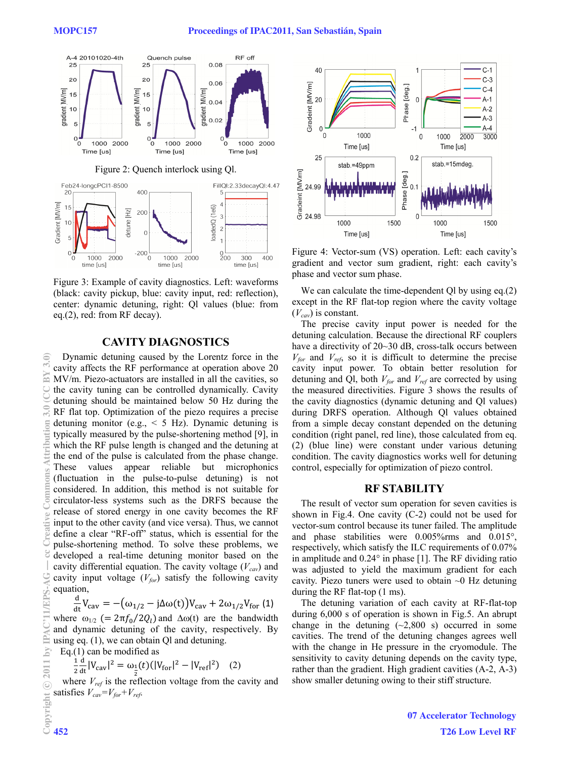

Figure 3: Example of cavity diagnostics. Left: waveforms (black: cavity pickup, blue: cavity input, red: reflection), center: dynamic detuning, right: Ql values (blue: from eq.(2), red: from RF decay).

# **CAVITY DIAGNOSTICS**

Dynamic detuning caused by the Lorentz force in the cavity affects the RF performance at operation above 20 MV/m. Piezo-actuators are installed in all the cavities, so the cavity tuning can be controlled dynamically. Cavity detuning should be maintained below 50 Hz during the RF flat top. Optimization of the piezo requires a precise detuning monitor (e.g., < 5 Hz). Dynamic detuning is typically measured by the pulse-shortening method [9], in which the RF pulse length is changed and the detuning at the end of the pulse is calculated from the phase change. These values appear reliable but microphonics (fluctuation in the pulse-to-pulse detuning) is not considered. In addition, this method is not suitable for circulator-less systems such as the DRFS because the release of stored energy in one cavity becomes the RF input to the other cavity (and vice versa). Thus, we cannot define a clear "RF-off" status, which is essential for the pulse-shortening method. To solve these problems, we developed a real-time detuning monitor based on the cavity differential equation. The cavity voltage  $(V_{cav})$  and cavity input voltage  $(V_{for})$  satisfy the following cavity equation,

$$
\frac{\mathrm{d}}{\mathrm{d}t}V_{\mathrm{cav}} = -(\omega_{1/2} - \mathrm{j}\Delta\omega(t))V_{\mathrm{cav}} + 2\omega_{1/2}V_{\mathrm{for}}(1)
$$

where  $\omega_{1/2}$  (=  $2\pi f_0/2Q_l$ ) and  $\Delta\omega(t)$  are the bandwidth and dynamic detuning of the cavity, respectively. By using eq. (1), we can obtain Ql and detuning.

Eq.(1) can be modified as

$$
\frac{1}{2}\frac{d}{dt}|V_{\text{cav}}|^2 = \omega_{\frac{1}{2}}(t)(|V_{\text{for}}|^2 - |V_{\text{ref}}|^2)
$$
 (2)

where  $V_{ref}$  is the reflection voltage from the cavity and satisfies  $V_{cav} = V_{for} + V_{ref}$ .



Figure 4: Vector-sum (VS) operation. Left: each cavity's gradient and vector sum gradient, right: each cavity's phase and vector sum phase.

We can calculate the time-dependent Ql by using eq.(2) except in the RF flat-top region where the cavity voltage  $(V_{cav})$  is constant.

The precise cavity input power is needed for the detuning calculation. Because the directional RF couplers have a directivity of 20~30 dB, cross-talk occurs between  $V_{for}$  and  $V_{ref}$ , so it is difficult to determine the precise cavity input power. To obtain better resolution for detuning and Ql, both  $V_{for}$  and  $V_{ref}$  are corrected by using the measured directivities. Figure 3 shows the results of the cavity diagnostics (dynamic detuning and Ql values) during DRFS operation. Although Ql values obtained from a simple decay constant depended on the detuning condition (right panel, red line), those calculated from eq. (2) (blue line) were constant under various detuning condition. The cavity diagnostics works well for detuning control, especially for optimization of piezo control.

#### **RF STABILITY**

The result of vector sum operation for seven cavities is shown in Fig.4. One cavity (C-2) could not be used for vector-sum control because its tuner failed. The amplitude and phase stabilities were 0.005%rms and 0.015°, respectively, which satisfy the ILC requirements of 0.07% in amplitude and 0.24° in phase [1]. The RF dividing ratio was adjusted to yield the maximum gradient for each cavity. Piezo tuners were used to obtain  $\sim$ 0 Hz detuning during the RF flat-top (1 ms).

The detuning variation of each cavity at RF-flat-top during 6,000 s of operation is shown in Fig.5. An abrupt change in the detuning  $(-2,800 \text{ s})$  occurred in some cavities. The trend of the detuning changes agrees well with the change in He pressure in the cryomodule. The sensitivity to cavity detuning depends on the cavity type, rather than the gradient. High gradient cavities (A-2, A-3) show smaller detuning owing to their stiff structure.

 $\widehat{\mathcal{L}}$ BY